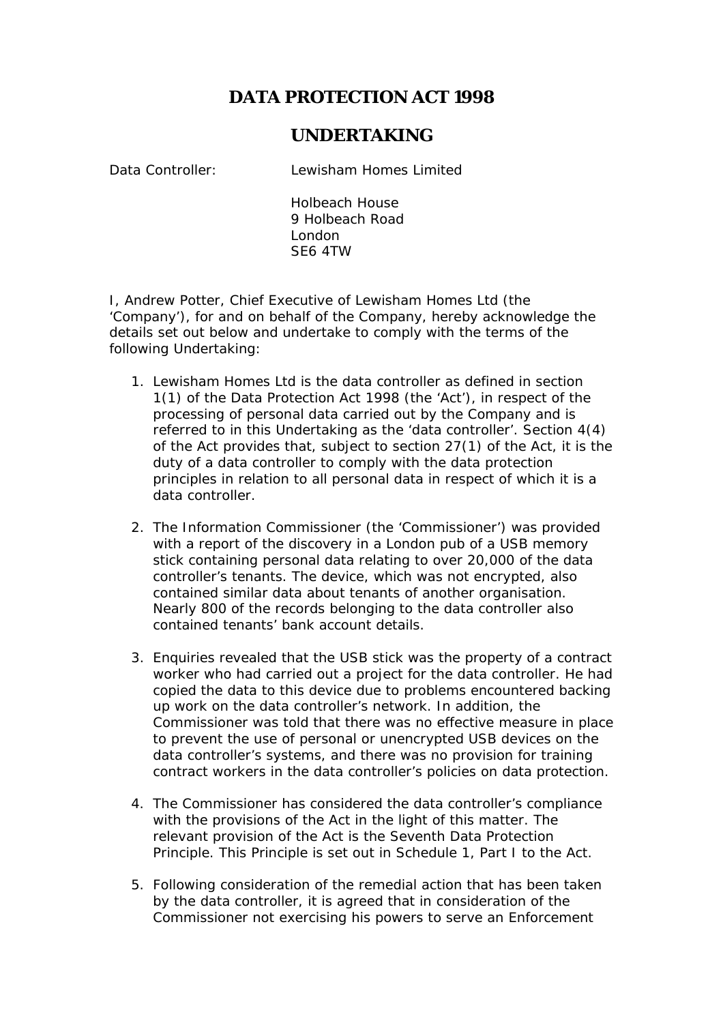## **DATA PROTECTION ACT 1998**

## **UNDERTAKING**

Data Controller: Lewisham Homes Limited

Holbeach House 9 Holbeach Road London SE6 4TW

I, Andrew Potter, Chief Executive of Lewisham Homes Ltd (the 'Company'), for and on behalf of the Company, hereby acknowledge the details set out below and undertake to comply with the terms of the following Undertaking:

- 1. Lewisham Homes Ltd is the data controller as defined in section 1(1) of the Data Protection Act 1998 (the 'Act'), in respect of the processing of personal data carried out by the Company and is referred to in this Undertaking as the 'data controller'. Section 4(4) of the Act provides that, subject to section 27(1) of the Act, it is the duty of a data controller to comply with the data protection principles in relation to all personal data in respect of which it is a data controller.
- 2. The Information Commissioner (the 'Commissioner') was provided with a report of the discovery in a London pub of a USB memory stick containing personal data relating to over 20,000 of the data controller's tenants. The device, which was not encrypted, also contained similar data about tenants of another organisation. Nearly 800 of the records belonging to the data controller also contained tenants' bank account details.
- 3. Enquiries revealed that the USB stick was the property of a contract worker who had carried out a project for the data controller. He had copied the data to this device due to problems encountered backing up work on the data controller's network. In addition, the Commissioner was told that there was no effective measure in place to prevent the use of personal or unencrypted USB devices on the data controller's systems, and there was no provision for training contract workers in the data controller's policies on data protection.
- 4. The Commissioner has considered the data controller's compliance with the provisions of the Act in the light of this matter. The relevant provision of the Act is the Seventh Data Protection Principle. This Principle is set out in Schedule 1, Part I to the Act.
- 5. Following consideration of the remedial action that has been taken by the data controller, it is agreed that in consideration of the Commissioner not exercising his powers to serve an Enforcement